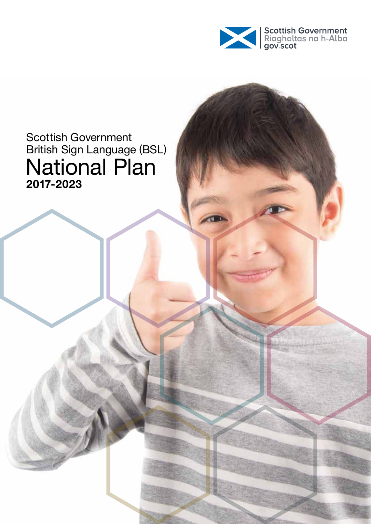

#### Scottish Government British Sign Language (BSL) National Plan **2017-2023**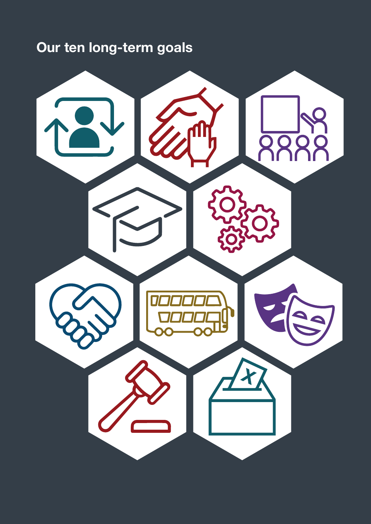#### **Our ten long-term goals**

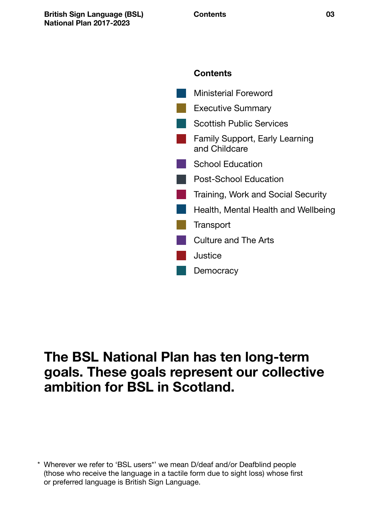



#### **The BSL National Plan has ten long-term goals. These goals represent our collective ambition for BSL in Scotland.**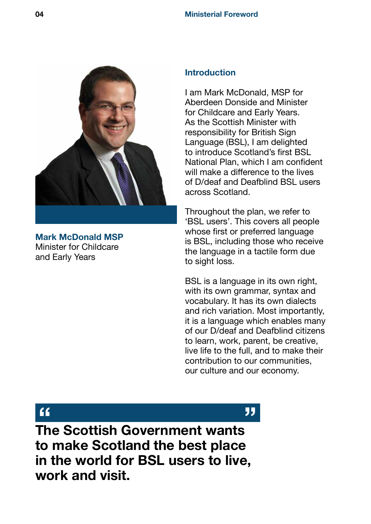<span id="page-3-0"></span>

**Mark McDonald MSP** Minister for Childcare and Early Years

#### **Introduction**

I am Mark McDonald, MSP for Aberdeen Donside and Minister for Childcare and Early Years. As the Scottish Minister with responsibility for British Sign Language (BSL), I am delighted to introduce Scotland's first BSL National Plan, which I am confident will make a difference to the lives of D/deaf and Deafblind BSL users across Scotland.

Throughout the plan, we refer to 'BSL users'. This covers all people whose first or preferred language is BSL, including those who receive the language in a tactile form due to sight loss.

BSL is a language in its own right, with its own grammar, syntax and vocabulary. It has its own dialects and rich variation. Most importantly, it is a language which enables many of our D/deaf and Deafblind citizens to learn, work, parent, be creative, live life to the full, and to make their contribution to our communities, our culture and our economy.

**The Scottish Government wants " "to make Scotland the best place in the world for BSL users to live, work and visit.**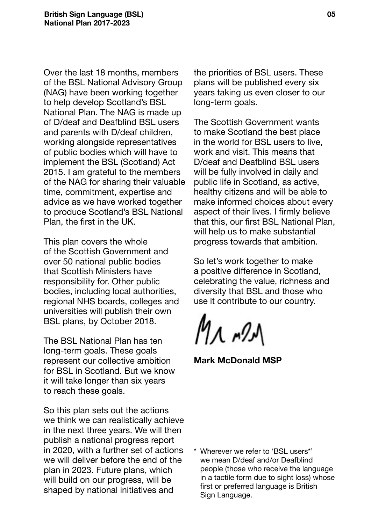Over the last 18 months, members of the BSL National Advisory Group (NAG) have been working together to help develop Scotland's BSL National Plan. The NAG is made up of D/deaf and Deafblind BSL users and parents with D/deaf children, working alongside representatives of public bodies which will have to implement the BSL (Scotland) Act 2015. I am grateful to the members of the NAG for sharing their valuable time, commitment, expertise and advice as we have worked together to produce Scotland's BSL National Plan, the first in the UK.

This plan covers the whole of the Scottish Government and over 50 national public bodies that Scottish Ministers have responsibility for. Other public bodies, including local authorities, regional NHS boards, colleges and universities will publish their own BSL plans, by October 2018.

The BSL National Plan has ten long-term goals. These goals represent our collective ambition for BSL in Scotland. But we know it will take longer than six years to reach these goals.

So this plan sets out the actions we think we can realistically achieve in the next three years. We will then publish a national progress report in 2020, with a further set of actions we will deliver before the end of the plan in 2023. Future plans, which will build on our progress, will be shaped by national initiatives and

the priorities of BSL users. These plans will be published every six years taking us even closer to our long-term goals.

The Scottish Government wants to make Scotland the best place in the world for BSL users to live, work and visit. This means that D/deaf and Deafblind BSL users will be fully involved in daily and public life in Scotland, as active, healthy citizens and will be able to make informed choices about every aspect of their lives. I firmly believe that this, our first BSL National Plan, will help us to make substantial progress towards that ambition.

So let's work together to make a positive difference in Scotland, celebrating the value, richness and diversity that BSL and those who use it contribute to our country.

Мл т9Л

**Mark McDonald MSP**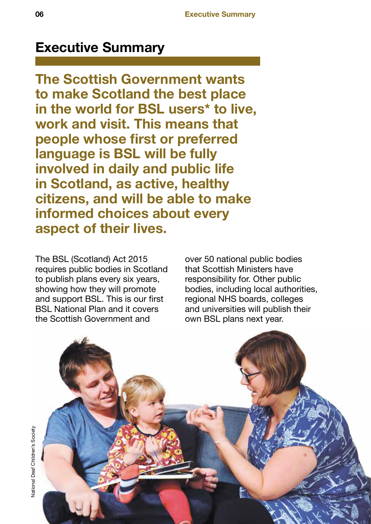#### <span id="page-5-0"></span>**Executive Summary**

**The Scottish Government wants to make Scotland the best place in the world for BSL users\* to live, work and visit. This means that people whose first or preferred language is BSL will be fully involved in daily and public life in Scotland, as active, healthy citizens, and will be able to make informed choices about every aspect of their lives.**

The BSL (Scotland) Act 2015 requires public bodies in Scotland to publish plans every six years, showing how they will promote and support BSL. This is our first BSL National Plan and it covers the Scottish Government and

over 50 national public bodies that Scottish Ministers have responsibility for. Other public bodies, including local authorities, regional NHS boards, colleges and universities will publish their own BSL plans next year.

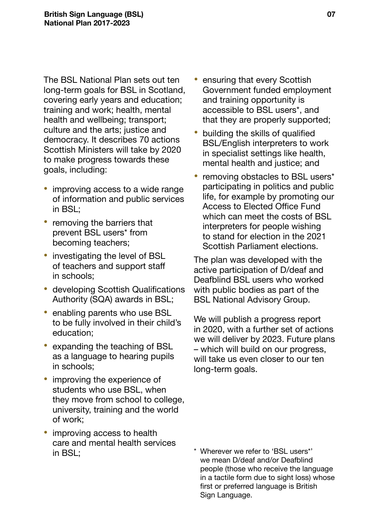The BSL National Plan sets out ten long-term goals for BSL in Scotland, covering early years and education; training and work; health, mental health and wellbeing; transport; culture and the arts; justice and democracy. It describes 70 actions Scottish Ministers will take by 2020 to make progress towards these goals, including:

- improving access to a wide range of information and public services in BSL;
- removing the barriers that prevent BSL users\* from becoming teachers;
- investigating the level of BSL of teachers and support staff in schools;
- developing Scottish Qualifications Authority (SQA) awards in BSL;
- enabling parents who use BSL to be fully involved in their child's education;
- expanding the teaching of BSL as a language to hearing pupils in schools;
- improving the experience of students who use BSL, when they move from school to college, university, training and the world of work;
- improving access to health care and mental health services in BSL;
- ensuring that every Scottish Government funded employment and training opportunity is accessible to BSL users\*, and that they are properly supported;
- building the skills of qualified BSL/English interpreters to work in specialist settings like health, mental health and justice; and
- removing obstacles to BSL users\* participating in politics and public life, for example by promoting our Access to Elected Office Fund which can meet the costs of BSL interpreters for people wishing to stand for election in the 2021 Scottish Parliament elections.

The plan was developed with the active participation of D/deaf and Deafblind BSL users who worked with public bodies as part of the BSL National Advisory Group.

We will publish a progress report in 2020, with a further set of actions we will deliver by 2023. Future plans – which will build on our progress, will take us even closer to our ten long-term goals.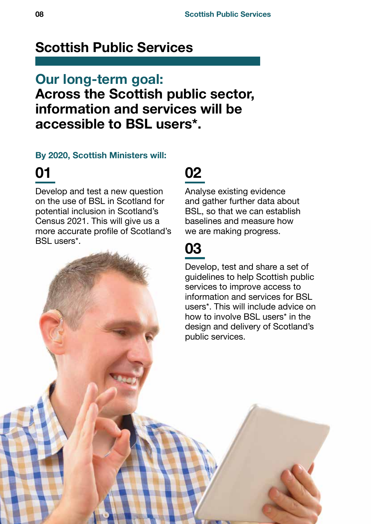#### <span id="page-7-0"></span>**Scottish Public Services**

#### **Our long-term goal: Across the Scottish public sector, information and services will be accessible to BSL users\*.**

#### **By 2020, Scottish Ministers will:**

#### **01**

Develop and test a new question on the use of BSL in Scotland for potential inclusion in Scotland's Census 2021. This will give us a more accurate profile of Scotland's BSL users\*.

#### **02**

Analyse existing evidence and gather further data about BSL, so that we can establish baselines and measure how we are making progress.

#### **03**

Develop, test and share a set of guidelines to help Scottish public services to improve access to information and services for BSL users\*. This will include advice on how to involve BSL users\* in the design and delivery of Scotland's public services.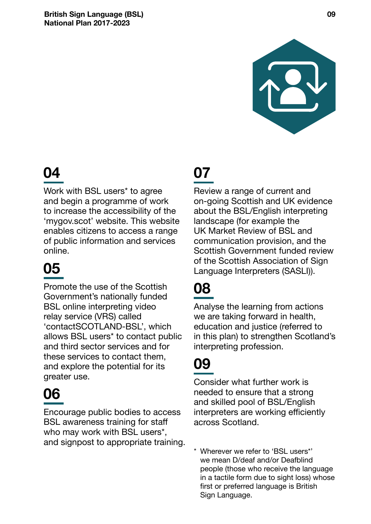

Work with BSL users<sup>\*</sup> to agree and begin a programme of work to increase the accessibility of the 'mygov.scot' website. This website enables citizens to access a range of public information and services online.

# **05**

Promote the use of the Scottish Government's nationally funded BSL online interpreting video relay service (VRS) called 'contactSCOTLAND-BSL', which allows BSL users\* to contact public and third sector services and for these services to contact them, and explore the potential for its greater use.

## **06**

Encourage public bodies to access BSL awareness training for staff who may work with BSL users\*, and signpost to appropriate training.

### **07**

Review a range of current and on-going Scottish and UK evidence about the BSL/English interpreting landscape (for example the UK Market Review of BSL and communication provision, and the Scottish Government funded review of the Scottish Association of Sign Language Interpreters (SASLI)).

### **08**

Analyse the learning from actions we are taking forward in health, education and justice (referred to in this plan) to strengthen Scotland's interpreting profession.

## **09**

Consider what further work is needed to ensure that a strong and skilled pool of BSL/English interpreters are working efficiently across Scotland.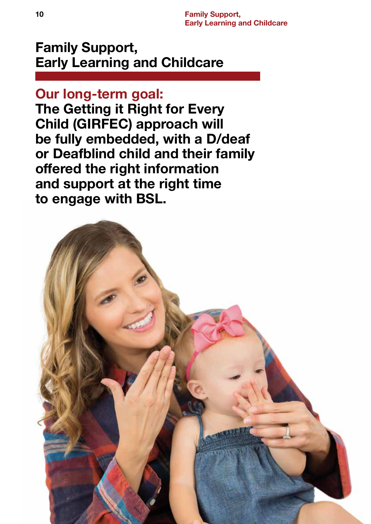#### <span id="page-9-0"></span>**Family Support, Early Learning and Childcare**

#### **Our long-term goal:**

**The Getting it Right for Every Child (GIRFEC) approach will be fully embedded, with a D/deaf or Deafblind child and their family offered the right information and support at the right time to engage with BSL.**

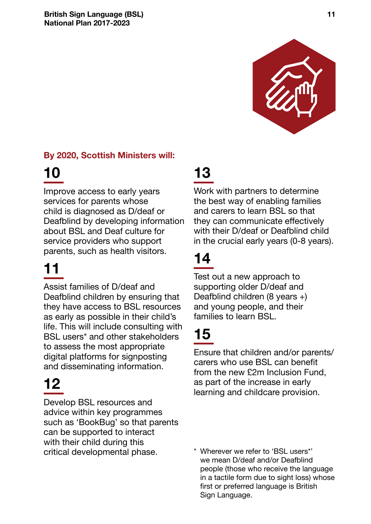

#### **By 2020, Scottish Ministers will:**

## **10**

Improve access to early years services for parents whose child is diagnosed as D/deaf or Deafblind by developing information about BSL and Deaf culture for service providers who support parents, such as health visitors.

# **11**

Assist families of D/deaf and Deafblind children by ensuring that they have access to BSL resources as early as possible in their child's life. This will include consulting with BSL users\* and other stakeholders to assess the most appropriate digital platforms for signposting and disseminating information.

# **12**

Develop BSL resources and advice within key programmes such as 'BookBug' so that parents can be supported to interact with their child during this critical developmental phase.

#### **13**

Work with partners to determine the best way of enabling families and carers to learn BSL so that they can communicate effectively with their D/deaf or Deafblind child in the crucial early years (0-8 years).

# **14**

Test out a new approach to supporting older D/deaf and Deafblind children (8 years +) and young people, and their families to learn BSL.

# **15**

Ensure that children and/or parents/ carers who use BSL can benefit from the new £2m Inclusion Fund, as part of the increase in early learning and childcare provision.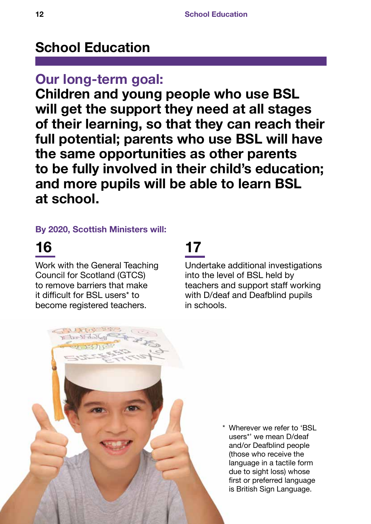#### <span id="page-11-0"></span>**School Education**

#### **Our long-term goal:**

**Children and young people who use BSL will get the support they need at all stages of their learning, so that they can reach their full potential; parents who use BSL will have the same opportunities as other parents to be fully involved in their child's education; and more pupils will be able to learn BSL at school.**

#### **By 2020, Scottish Ministers will:**

#### **16**

Work with the General Teaching Council for Scotland (GTCS) to remove barriers that make it difficult for BSL users\* to become registered teachers.

#### **17**

Undertake additional investigations into the level of BSL held by teachers and support staff working with D/deaf and Deafblind pupils in schools.

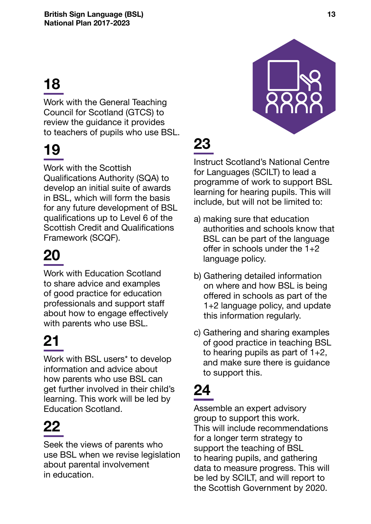Work with the General Teaching Council for Scotland (GTCS) to review the guidance it provides to teachers of pupils who use BSL.

# **19**

Work with the Scottish Qualifications Authority (SQA) to develop an initial suite of awards in BSL, which will form the basis for any future development of BSL qualifications up to Level 6 of the Scottish Credit and Qualifications Framework (SCQF).

# **20**

Work with Education Scotland to share advice and examples of good practice for education professionals and support staff about how to engage effectively with parents who use BSL.

# **21**

Work with BSL users<sup>\*</sup> to develop information and advice about how parents who use BSL can get further involved in their child's learning. This work will be led by Education Scotland.

# **22**

Seek the views of parents who use BSL when we revise legislation about parental involvement in education.



# **23**

Instruct Scotland's National Centre for Languages (SCILT) to lead a programme of work to support BSL learning for hearing pupils. This will include, but will not be limited to:

- a) making sure that education authorities and schools know that BSL can be part of the language offer in schools under the  $1+2$ language policy.
- b) Gathering detailed information on where and how BSL is being offered in schools as part of the 1+2 language policy, and update this information regularly.
- c) Gathering and sharing examples of good practice in teaching BSL to hearing pupils as part of 1+2, and make sure there is guidance to support this.

# **24**

Assemble an expert advisory group to support this work. This will include recommendations for a longer term strategy to support the teaching of BSL to hearing pupils, and gathering data to measure progress. This will be led by SCILT, and will report to the Scottish Government by 2020.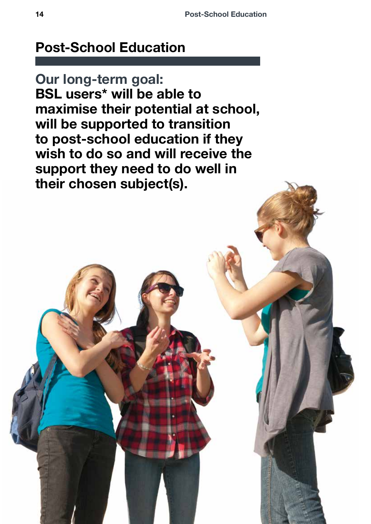#### <span id="page-13-0"></span>**Post-School Education**

**Our long-term goal: BSL users\* will be able to maximise their potential at school, will be supported to transition to post-school education if they wish to do so and will receive the support they need to do well in their chosen subject(s).**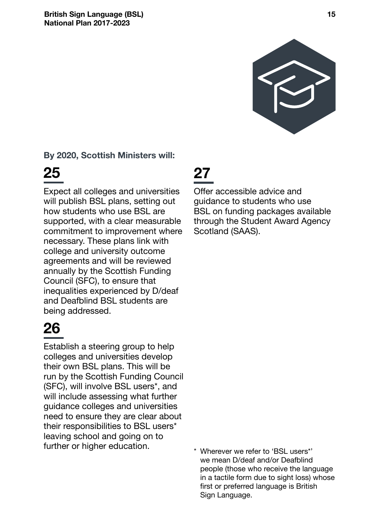

#### **By 2020, Scottish Ministers will:**

### **25**

Expect all colleges and universities will publish BSL plans, setting out how students who use BSL are supported, with a clear measurable commitment to improvement where necessary. These plans link with college and university outcome agreements and will be reviewed annually by the Scottish Funding Council (SFC), to ensure that inequalities experienced by D/deaf and Deafblind BSL students are being addressed.

# **26**

Establish a steering group to help colleges and universities develop their own BSL plans. This will be run by the Scottish Funding Council (SFC), will involve BSL users\*, and will include assessing what further guidance colleges and universities need to ensure they are clear about their responsibilities to BSL users\* leaving school and going on to further or higher education.

#### **27**

Offer accessible advice and guidance to students who use BSL on funding packages available through the Student Award Agency Scotland (SAAS).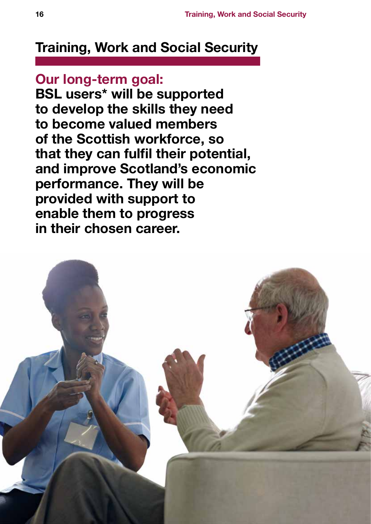#### <span id="page-15-0"></span>**Training, Work and Social Security**

**Our long-term goal: BSL users\* will be supported to develop the skills they need to become valued members of the Scottish workforce, so that they can fulfil their potential, and improve Scotland's economic performance. They will be provided with support to enable them to progress in their chosen career.**

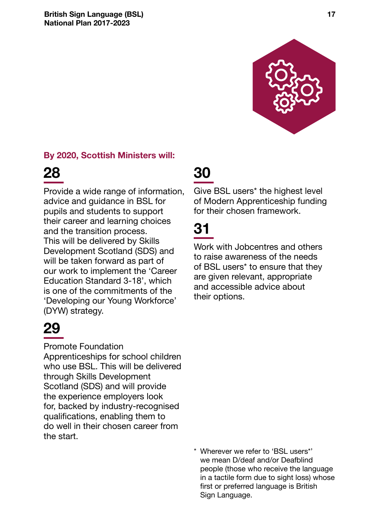

#### **By 2020, Scottish Ministers will:**



Provide a wide range of information, advice and guidance in BSL for pupils and students to support their career and learning choices and the transition process. This will be delivered by Skills Development Scotland (SDS) and will be taken forward as part of our work to implement the 'Career Education Standard 3-18', which is one of the commitments of the 'Developing our Young Workforce' (DYW) strategy.

# **29**

#### Promote Foundation

Apprenticeships for school children who use BSL. This will be delivered through Skills Development Scotland (SDS) and will provide the experience employers look for, backed by industry-recognised qualifications, enabling them to do well in their chosen career from the start.

#### **30**

Give BSL users\* the highest level of Modern Apprenticeship funding for their chosen framework.

## **31**

Work with Jobcentres and others to raise awareness of the needs of BSL users\* to ensure that they are given relevant, appropriate and accessible advice about their options.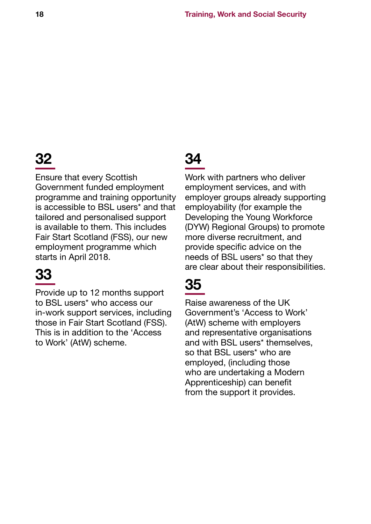Ensure that every Scottish Government funded employment programme and training opportunity is accessible to BSL users\* and that tailored and personalised support is available to them. This includes Fair Start Scotland (FSS), our new employment programme which starts in April 2018.

## **33**

Provide up to 12 months support to BSL users\* who access our in-work support services, including those in Fair Start Scotland (FSS). This is in addition to the 'Access to Work' (AtW) scheme.

## **34**

Work with partners who deliver employment services, and with employer groups already supporting employability (for example the Developing the Young Workforce (DYW) Regional Groups) to promote more diverse recruitment, and provide specific advice on the needs of BSL users\* so that they are clear about their responsibilities.

## **35**

Raise awareness of the UK Government's 'Access to Work' (AtW) scheme with employers and representative organisations and with BSL users\* themselves, so that BSL users<sup>\*</sup> who are employed, (including those who are undertaking a Modern Apprenticeship) can benefit from the support it provides.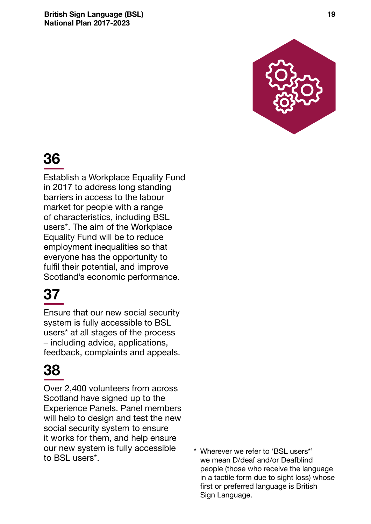**British Sign Language (BSL) 19 National Plan 2017-2023**



### **36**

Establish a Workplace Equality Fund in 2017 to address long standing barriers in access to the labour market for people with a range of characteristics, including BSL users\*. The aim of the Workplace Equality Fund will be to reduce employment inequalities so that everyone has the opportunity to fulfil their potential, and improve Scotland's economic performance.

## **37**

Ensure that our new social security system is fully accessible to BSL users\* at all stages of the process – including advice, applications, feedback, complaints and appeals.

### **38**

Over 2,400 volunteers from across Scotland have signed up to the Experience Panels. Panel members will help to design and test the new social security system to ensure it works for them, and help ensure our new system is fully accessible

vur frew system is fully accessible  $\longrightarrow$  Wherever we refer to 'BSL users\*'<br>to BSL users\*. we mean D/deaf and/or Deafblind people (those who receive the language in a tactile form due to sight loss) whose first or preferred language is British Sign Language.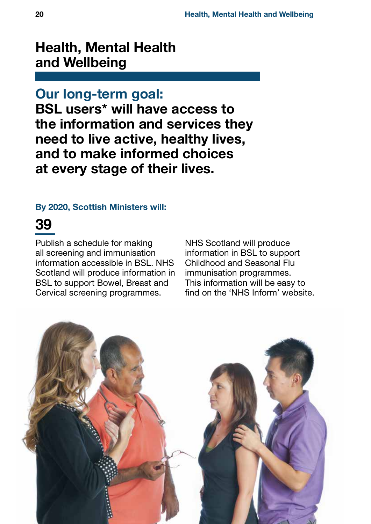#### <span id="page-19-0"></span>**Health, Mental Health and Wellbeing**

#### **Our long-term goal:**

**BSL users\* will have access to the information and services they need to live active, healthy lives, and to make informed choices at every stage of their lives.**

#### **By 2020, Scottish Ministers will:**

#### **39**

Publish a schedule for making all screening and immunisation information accessible in BSL. NHS Scotland will produce information in BSL to support Bowel, Breast and Cervical screening programmes.

NHS Scotland will produce information in BSL to support Childhood and Seasonal Flu immunisation programmes. This information will be easy to find on the 'NHS Inform' website.

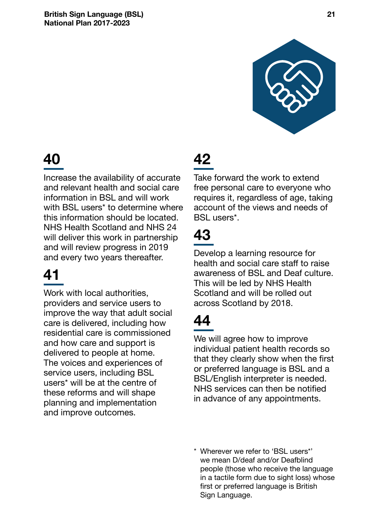

Increase the availability of accurate and relevant health and social care information in BSL and will work with BSL users<sup>\*</sup> to determine where this information should be located. NHS Health Scotland and NHS 24 will deliver this work in partnership and will review progress in 2019 and every two years thereafter.

## **41**

Work with local authorities, providers and service users to improve the way that adult social care is delivered, including how residential care is commissioned and how care and support is delivered to people at home. The voices and experiences of service users, including BSL users\* will be at the centre of these reforms and will shape planning and implementation and improve outcomes.

## **42**

Take forward the work to extend free personal care to everyone who requires it, regardless of age, taking account of the views and needs of BSL users\*.

## **43**

Develop a learning resource for health and social care staff to raise awareness of BSL and Deaf culture. This will be led by NHS Health Scotland and will be rolled out across Scotland by 2018.

### **44**

We will agree how to improve individual patient health records so that they clearly show when the first or preferred language is BSL and a BSL/English interpreter is needed. NHS services can then be notified in advance of any appointments.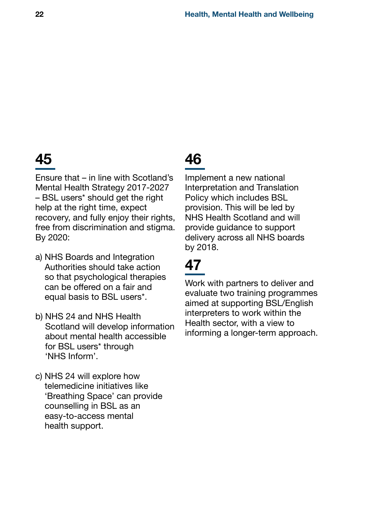Ensure that – in line with Scotland's Mental Health Strategy 2017-2027 – BSL users\* should get the right help at the right time, expect recovery, and fully enjoy their rights, free from discrimination and stigma. By 2020:

- a) NHS Boards and Integration Authorities should take action so that psychological therapies can be offered on a fair and equal basis to BSL users\*.
- b) NHS 24 and NHS Health Scotland will develop information about mental health accessible for BSL users\* through 'NHS Inform'.
- c) NHS 24 will explore how telemedicine initiatives like 'Breathing Space' can provide counselling in BSL as an easy-to-access mental health support.

### **46**

Implement a new national Interpretation and Translation Policy which includes BSL provision. This will be led by NHS Health Scotland and will provide guidance to support delivery across all NHS boards by 2018.

## **47**

Work with partners to deliver and evaluate two training programmes aimed at supporting BSL/English interpreters to work within the Health sector, with a view to informing a longer-term approach.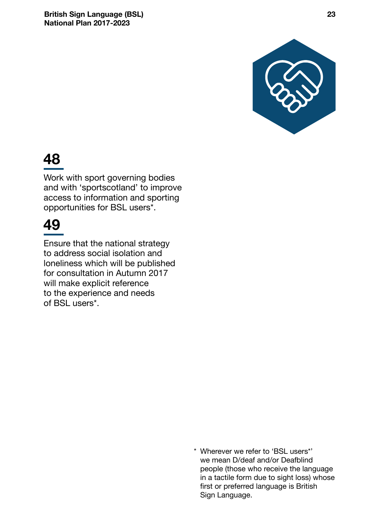

Work with sport governing bodies and with 'sportscotland' to improve access to information and sporting opportunities for BSL users\*.

#### **49**

Ensure that the national strategy to address social isolation and loneliness which will be published for consultation in Autumn 2017 will make explicit reference to the experience and needs of BSL users\*.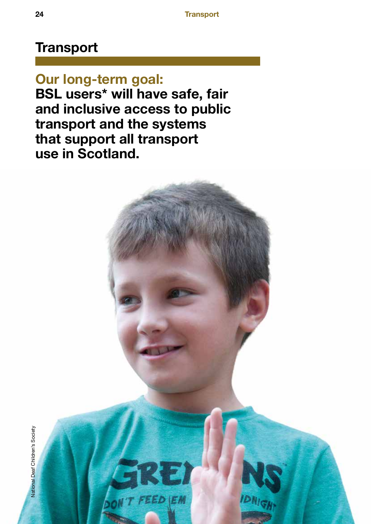#### <span id="page-23-0"></span>**Transport**

**Our long-term goal: BSL users\* will have safe, fair and inclusive access to public transport and the systems that support all transport use in Scotland.**

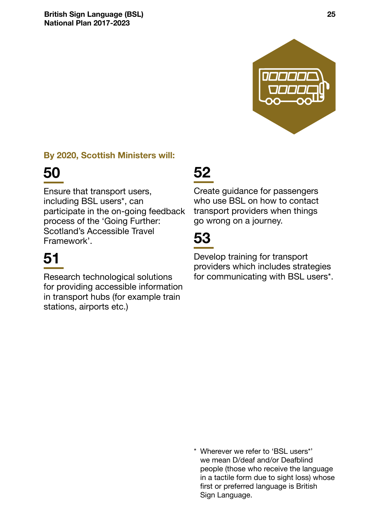

#### **By 2020, Scottish Ministers will:**

## **50**

Ensure that transport users, including BSL users\*, can participate in the on-going feedback process of the 'Going Further: Scotland's Accessible Travel Framework'.

# **51**

Research technological solutions for providing accessible information in transport hubs (for example train stations, airports etc.)

#### **52**

Create guidance for passengers who use BSL on how to contact transport providers when things go wrong on a journey.

### **53**

Develop training for transport providers which includes strategies for communicating with BSL users\*.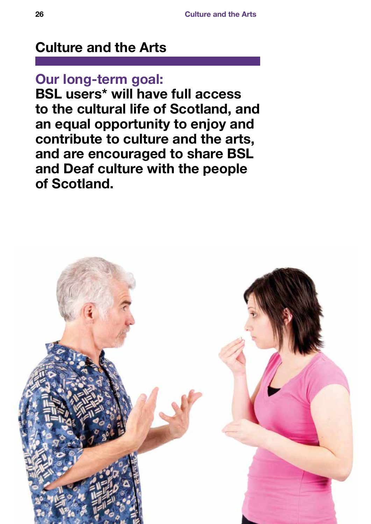#### <span id="page-25-0"></span>**Culture and the Arts**

#### **Our long-term goal:**

**BSL users\* will have full access to the cultural life of Scotland, and an equal opportunity to enjoy and contribute to culture and the arts, and are encouraged to share BSL and Deaf culture with the people of Scotland.**

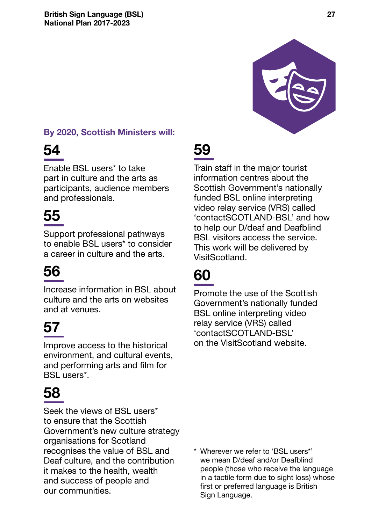

#### **By 2020, Scottish Ministers will:**

## **54**

Enable BSL users\* to take part in culture and the arts as participants, audience members and professionals.

# **55**

Support professional pathways to enable BSL users\* to consider a career in culture and the arts.

# **56**

Increase information in BSL about culture and the arts on websites and at venues.

# **57**

Improve access to the historical environment, and cultural events, and performing arts and film for BSL users\*.

## **58**

Seek the views of BSL users\* to ensure that the Scottish Government's new culture strategy organisations for Scotland recognises the value of BSL and Deaf culture, and the contribution it makes to the health, wealth and success of people and our communities.

# **59**

Train staff in the major tourist information centres about the Scottish Government's nationally funded BSL online interpreting video relay service (VRS) called 'contactSCOTLAND-BSL' and how to help our D/deaf and Deafblind BSL visitors access the service. This work will be delivered by VisitScotland.

# **60**

Promote the use of the Scottish Government's nationally funded BSL online interpreting video relay service (VRS) called 'contactSCOTLAND-BSL' on the VisitScotland website.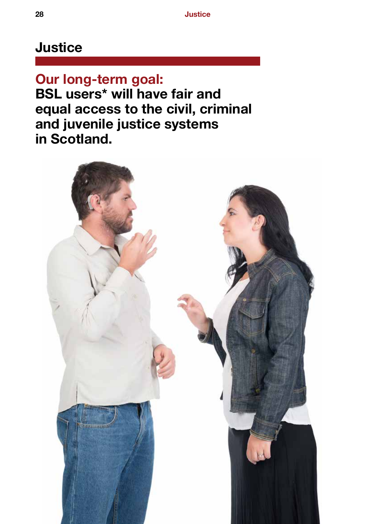#### <span id="page-27-0"></span>**Justice**

**Our long-term goal: BSL users\* will have fair and equal access to the civil, criminal and juvenile justice systems in Scotland.**

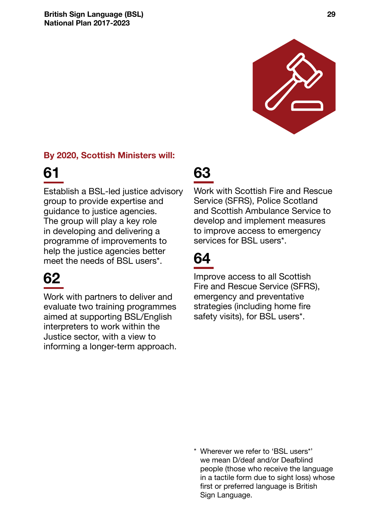

#### **By 2020, Scottish Ministers will:**

### **61**

Establish a BSL-led justice advisory group to provide expertise and guidance to justice agencies. The group will play a key role in developing and delivering a programme of improvements to help the justice agencies better meet the needs of BSL users\*.

## **62**

Work with partners to deliver and evaluate two training programmes aimed at supporting BSL/English interpreters to work within the Justice sector, with a view to informing a longer-term approach.

#### **63**

Work with Scottish Fire and Rescue Service (SFRS), Police Scotland and Scottish Ambulance Service to develop and implement measures to improve access to emergency services for BSL users\*.

### **64**

Improve access to all Scottish Fire and Rescue Service (SFRS), emergency and preventative strategies (including home fire safety visits), for BSL users\*.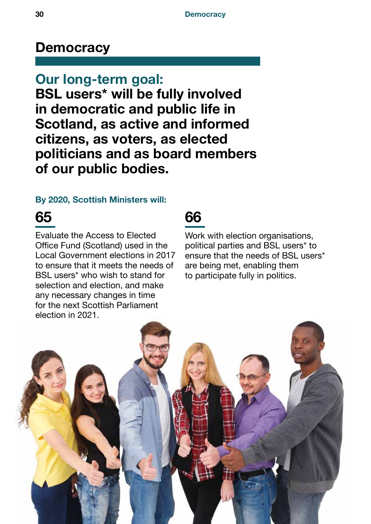#### <span id="page-29-0"></span>**Democracy**

**Our long-term goal: BSL users\* will be fully involved in democratic and public life in Scotland, as active and informed citizens, as voters, as elected politicians and as board members of our public bodies.**

#### **By 2020, Scottish Ministers will:**

#### **65**

Evaluate the Access to Elected Office Fund (Scotland) used in the Local Government elections in 2017 to ensure that it meets the needs of BSL users\* who wish to stand for selection and election, and make any necessary changes in time for the next Scottish Parliament election in 2021.

#### **66**

Work with election organisations, political parties and BSL users\* to ensure that the needs of BSL users\* are being met, enabling them to participate fully in politics.

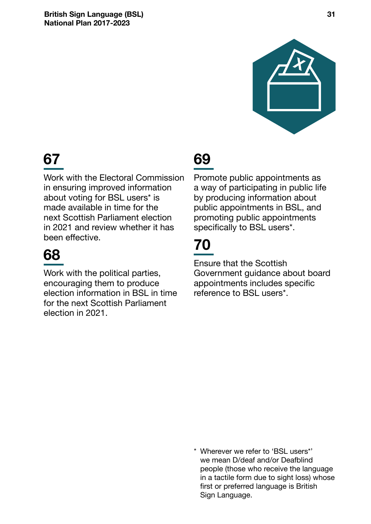

Work with the Electoral Commission in ensuring improved information about voting for BSL users\* is made available in time for the next Scottish Parliament election in 2021 and review whether it has been effective.

### **68**

Work with the political parties, encouraging them to produce election information in BSL in time for the next Scottish Parliament election in 2021.

### **69**

Promote public appointments as a way of participating in public life by producing information about public appointments in BSL, and promoting public appointments specifically to BSL users\*.

## **70**

Ensure that the Scottish Government guidance about board appointments includes specific reference to BSL users\*.